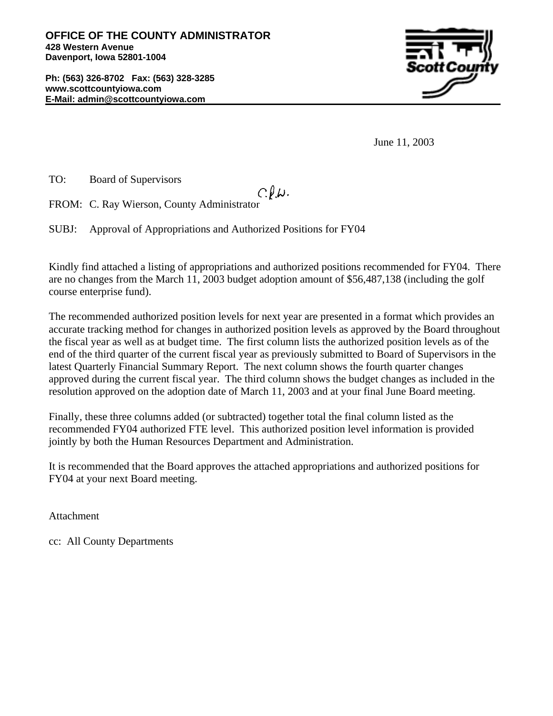**OFFICE OF THE COUNTY ADMINISTRATOR 428 Western Avenue Davenport, Iowa 52801-1004**

**Ph: (563) 326-8702 Fax: (563) 328-3285 www.scottcountyiowa.com E-Mail: admin@scottcountyiowa.com**



June 11, 2003

TO: Board of Supervisors

## $C.\ell.\omega.$

FROM: C. Ray Wierson, County Administrator

SUBJ: Approval of Appropriations and Authorized Positions for FY04

Kindly find attached a listing of appropriations and authorized positions recommended for FY04. There are no changes from the March 11, 2003 budget adoption amount of \$56,487,138 (including the golf course enterprise fund).

The recommended authorized position levels for next year are presented in a format which provides an accurate tracking method for changes in authorized position levels as approved by the Board throughout the fiscal year as well as at budget time. The first column lists the authorized position levels as of the end of the third quarter of the current fiscal year as previously submitted to Board of Supervisors in the latest Quarterly Financial Summary Report. The next column shows the fourth quarter changes approved during the current fiscal year. The third column shows the budget changes as included in the resolution approved on the adoption date of March 11, 2003 and at your final June Board meeting.

Finally, these three columns added (or subtracted) together total the final column listed as the recommended FY04 authorized FTE level. This authorized position level information is provided jointly by both the Human Resources Department and Administration.

It is recommended that the Board approves the attached appropriations and authorized positions for FY04 at your next Board meeting.

Attachment

cc: All County Departments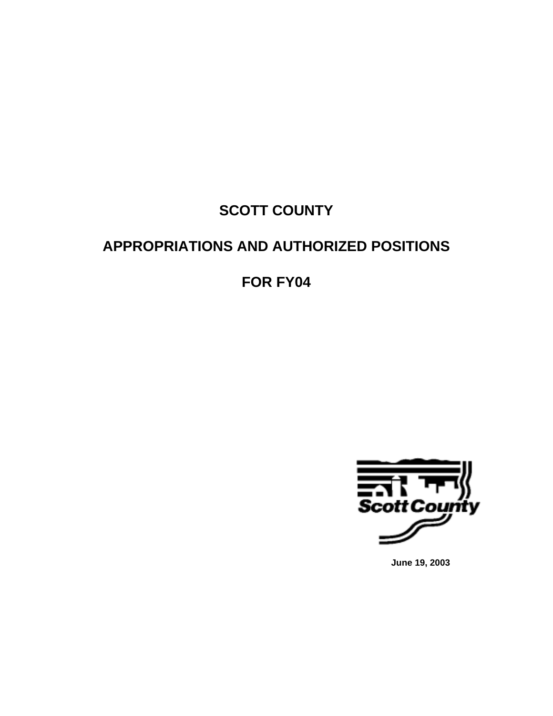# **SCOTT COUNTY**

# **APPROPRIATIONS AND AUTHORIZED POSITIONS**

**FOR FY04**



**June 19, 2003**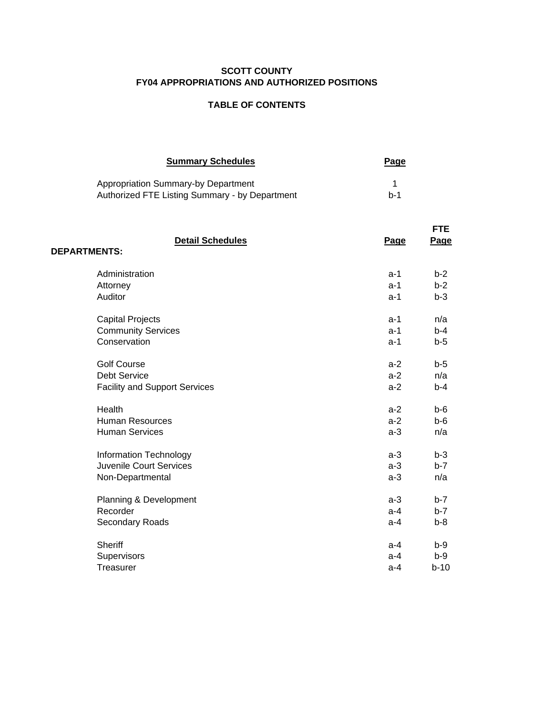#### **SCOTT COUNTY FY04 APPROPRIATIONS AND AUTHORIZED POSITIONS**

#### **TABLE OF CONTENTS**

| <b>Summary Schedules</b>                                                              | <u>Page</u> |
|---------------------------------------------------------------------------------------|-------------|
| Appropriation Summary-by Department<br>Authorized FTE Listing Summary - by Department | $h-1$       |

| <b>Detail Schedules</b><br><b>DEPARTMENTS:</b> | Page  | <b>FTE</b><br>Page |
|------------------------------------------------|-------|--------------------|
| Administration                                 | $a-1$ | $b-2$              |
| Attorney                                       | $a-1$ | $b-2$              |
| Auditor                                        | $a-1$ | $b-3$              |
| <b>Capital Projects</b>                        | $a-1$ | n/a                |
| <b>Community Services</b>                      | $a-1$ | $b-4$              |
| Conservation                                   | $a-1$ | $b-5$              |
| <b>Golf Course</b>                             | $a-2$ | $b-5$              |
| <b>Debt Service</b>                            | $a-2$ | n/a                |
| <b>Facility and Support Services</b>           | $a-2$ | $b-4$              |
| Health                                         | $a-2$ | $b - 6$            |
| <b>Human Resources</b>                         | $a-2$ | $b - 6$            |
| <b>Human Services</b>                          | $a-3$ | n/a                |
| Information Technology                         | $a-3$ | $b-3$              |
| <b>Juvenile Court Services</b>                 | $a-3$ | $b-7$              |
| Non-Departmental                               | $a-3$ | n/a                |
| Planning & Development                         | $a-3$ | $b-7$              |
| Recorder                                       | $a-4$ | $b-7$              |
| Secondary Roads                                | $a-4$ | $b-8$              |
| Sheriff                                        | a-4   | $b-9$              |
| Supervisors                                    | a-4   | b-9                |
| Treasurer                                      | $a-4$ | $b-10$             |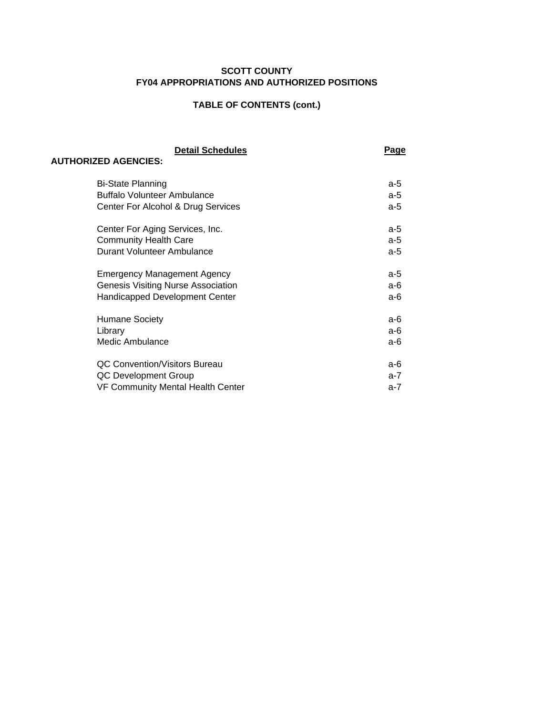#### **SCOTT COUNTY FY04 APPROPRIATIONS AND AUTHORIZED POSITIONS**

## **TABLE OF CONTENTS (cont.)**

| <b>Detail Schedules</b>                   | Page  |
|-------------------------------------------|-------|
| <b>AUTHORIZED AGENCIES:</b>               |       |
| <b>Bi-State Planning</b>                  | a-5   |
| <b>Buffalo Volunteer Ambulance</b>        | $a-5$ |
| Center For Alcohol & Drug Services        | $a-5$ |
|                                           |       |
| Center For Aging Services, Inc.           | $a-5$ |
| <b>Community Health Care</b>              | $a-5$ |
| Durant Volunteer Ambulance                | $a-5$ |
|                                           |       |
| <b>Emergency Management Agency</b>        | $a-5$ |
| <b>Genesis Visiting Nurse Association</b> | $a-6$ |
| Handicapped Development Center            | а-6   |
|                                           |       |
| <b>Humane Society</b>                     | $a-6$ |
| Library                                   | $a-6$ |
| Medic Ambulance                           | $a-6$ |
|                                           |       |
| <b>QC Convention/Visitors Bureau</b>      | а-6   |
| QC Development Group                      | $a-7$ |
| <b>VF Community Mental Health Center</b>  | a-7   |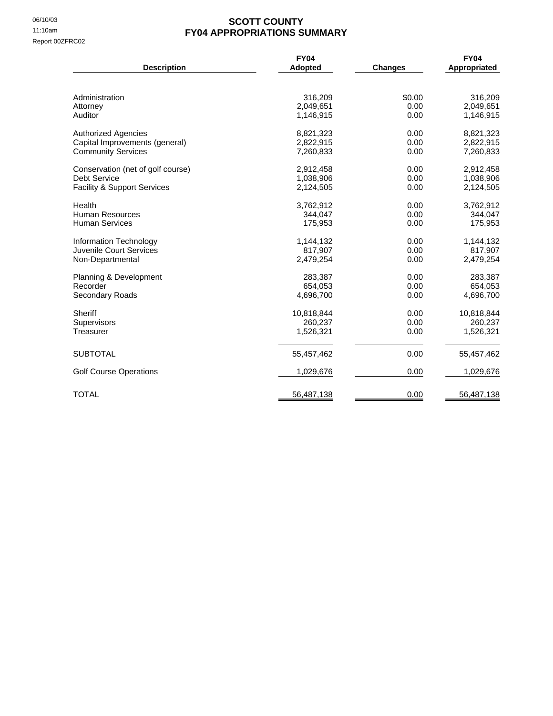#### 06/10/03<br>11:10am<br>**EY04 APPROPRIATIONS SI FY04 APPROPRIATIONS SUMMARY**

| <b>Description</b>                                          | <b>FY04</b><br><b>Adopted</b> | <b>Changes</b> | <b>FY04</b><br>Appropriated |
|-------------------------------------------------------------|-------------------------------|----------------|-----------------------------|
|                                                             |                               |                |                             |
| Administration                                              | 316,209                       | \$0.00         | 316,209                     |
| Attorney<br>Auditor                                         | 2,049,651<br>1,146,915        | 0.00<br>0.00   | 2,049,651<br>1,146,915      |
|                                                             |                               |                |                             |
| <b>Authorized Agencies</b>                                  | 8,821,323                     | 0.00           | 8,821,323                   |
| Capital Improvements (general)<br><b>Community Services</b> | 2,822,915<br>7,260,833        | 0.00<br>0.00   | 2,822,915<br>7,260,833      |
|                                                             |                               |                |                             |
| Conservation (net of golf course)                           | 2,912,458                     | 0.00           | 2,912,458                   |
| <b>Debt Service</b>                                         | 1,038,906                     | 0.00           | 1,038,906                   |
| Facility & Support Services                                 | 2,124,505                     | 0.00           | 2,124,505                   |
| Health                                                      | 3,762,912                     | 0.00           | 3,762,912                   |
| Human Resources                                             | 344.047                       | 0.00           | 344,047                     |
| <b>Human Services</b>                                       | 175,953                       | 0.00           | 175,953                     |
| Information Technology                                      | 1,144,132                     | 0.00           | 1,144,132                   |
| Juvenile Court Services                                     | 817,907                       | 0.00           | 817,907                     |
| Non-Departmental                                            | 2,479,254                     | 0.00           | 2,479,254                   |
| Planning & Development                                      | 283,387                       | 0.00           | 283,387                     |
| Recorder                                                    | 654,053                       | 0.00           | 654,053                     |
| Secondary Roads                                             | 4,696,700                     | 0.00           | 4,696,700                   |
| Sheriff                                                     | 10,818,844                    | 0.00           | 10,818,844                  |
| Supervisors                                                 | 260,237                       | 0.00           | 260,237                     |
| Treasurer                                                   | 1,526,321                     | 0.00           | 1,526,321                   |
| <b>SUBTOTAL</b>                                             | 55,457,462                    | 0.00           | 55,457,462                  |
| <b>Golf Course Operations</b>                               | 1,029,676                     | 0.00           | 1,029,676                   |
| <b>TOTAL</b>                                                | 56,487,138                    | 0.00           | 56,487,138                  |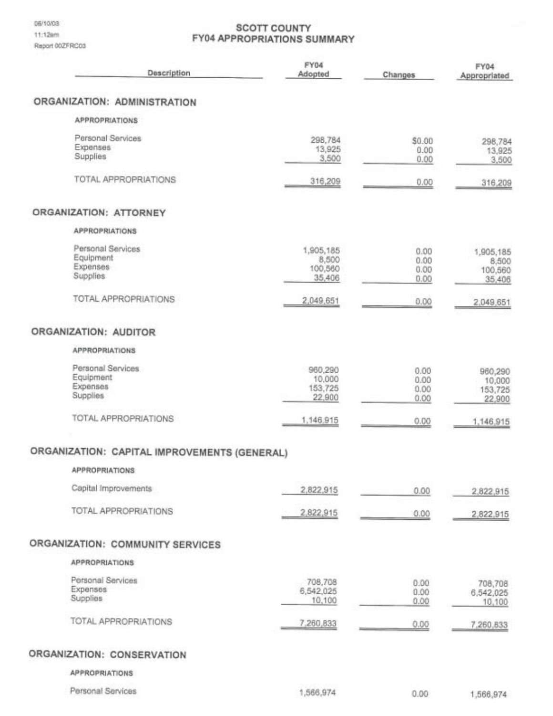#### **SCOTT COUNTY FY04 APPROPRIATIONS SUMMARY**

| Description                                            | FY04<br><b>Adopted</b>                  | Changes                      | FY04<br>Appropriated                    |
|--------------------------------------------------------|-----------------------------------------|------------------------------|-----------------------------------------|
| ORGANIZATION: ADMINISTRATION                           |                                         |                              |                                         |
| <b>APPROPRIATIONS</b>                                  |                                         |                              |                                         |
| Personal Services<br>Expenses<br>Supplies              | 298,784<br>13,925<br>3,500              | \$0.00<br>0.00<br>0.00       | 298,784<br>13,925<br>3,500              |
| TOTAL APPROPRIATIONS                                   | 316,209                                 | 0.00                         | 316,209                                 |
| ORGANIZATION: ATTORNEY                                 |                                         |                              |                                         |
| <b>APPROPRIATIONS</b>                                  |                                         |                              |                                         |
| Personal Services<br>Equipment<br>Expenses<br>Supplies | 1,905,185<br>8,500<br>100,560<br>35,406 | 0.00<br>0.00<br>0.00<br>0.00 | 1,905,185<br>8,500<br>100,560<br>35,406 |
| TOTAL APPROPRIATIONS                                   | 2,049,651                               | 0.00                         | 2,049,651                               |
| ORGANIZATION: AUDITOR                                  |                                         |                              |                                         |
| <b>APPROPRIATIONS</b>                                  |                                         |                              |                                         |
| Personal Services<br>Equipment<br>Expenses<br>Supplies | 960,290<br>10,000<br>153,725<br>22,900  | 0.00<br>0.00<br>0.00<br>0.00 | 960,290<br>10,000<br>153,725<br>22,900  |
| <b>TOTAL APPROPRIATIONS</b>                            | 1,146,915                               | 0.00                         | 1,146,915                               |
| ORGANIZATION: CAPITAL IMPROVEMENTS (GENERAL)           |                                         |                              |                                         |
| <b>APPROPRIATIONS</b>                                  |                                         |                              |                                         |
| Capital Improvements                                   | 2,822,915                               | 0.00                         | 2,822,915                               |
| <b>TOTAL APPROPRIATIONS</b>                            | 2,822,915                               | 0.00                         | 2,822,915                               |
| ORGANIZATION: COMMUNITY SERVICES                       |                                         |                              |                                         |
| <b>APPROPRIATIONS</b>                                  |                                         |                              |                                         |
| Personal Services<br>Expenses<br>Supplies              | 708,708<br>6,542,025<br>10,100          | 0.00<br>0.00<br>0.00         | 708,708<br>6,542,025<br>10,100          |
| TOTAL APPROPRIATIONS                                   | 7,260,833                               | 0.00                         | 7,260,833                               |
| ORGANIZATION: CONSERVATION                             |                                         |                              |                                         |

**APPROPRIATIONS** 

Personal Services

1,566,974

 $0.00$ 

1,566,974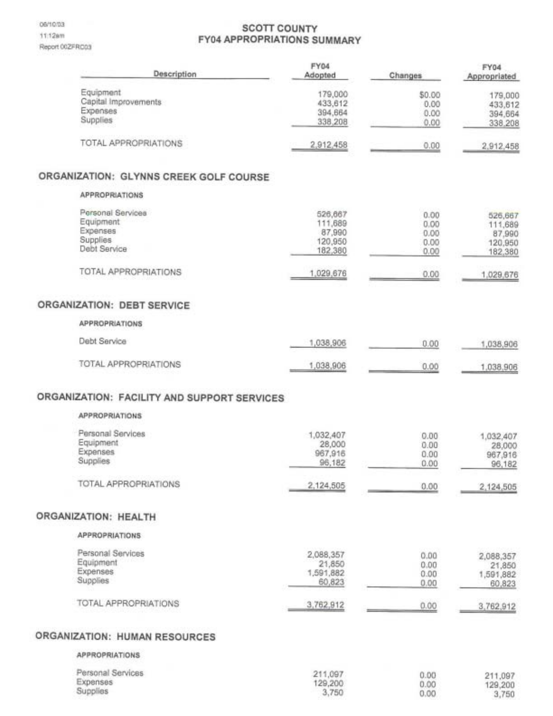06/10/03 11:12am Report 002FR003

## **SCOTT COUNTY FY04 APPROPRIATIONS SUMMARY**

| Description                                 | <b>FY04</b><br>Adopted | Changes        | FY04<br>Appropriated |
|---------------------------------------------|------------------------|----------------|----------------------|
| Equipment<br>Capital Improvements           | 179,000<br>433,612     | \$0.00<br>0.00 | 179,000<br>433,612   |
| Expenses<br>Supplies                        | 394,664<br>338,208     | 0.00<br>0.00   | 394,664<br>338,208   |
| TOTAL APPROPRIATIONS                        | 2,912,458              | 0.00           | 2,912,458            |
| ORGANIZATION: GLYNNS CREEK GOLF COURSE      |                        |                |                      |
| <b>APPROPRIATIONS</b>                       |                        |                |                      |
| Personal Services                           | 526,667                | 0.00           | 526,667              |
| Equipment<br>Expenses                       | 111,689<br>87,990      | 0.00           | 111,689              |
| Supplies                                    | 120,950                | 0.00<br>0.00   | 87,990<br>120,950    |
| Debt Service                                | 182,380                | 0.00           | 182,380              |
| TOTAL APPROPRIATIONS                        | 1,029,676              | 0.00           | 1,029,676            |
| ORGANIZATION: DEBT SERVICE                  |                        |                |                      |
| <b>APPROPRIATIONS</b>                       |                        |                |                      |
| <b>Debt Service</b>                         | 1,038,906              | 0.00           | 1,038,906            |
| TOTAL APPROPRIATIONS                        | 1,038,906              | 0.00           | 1,038,906            |
| ORGANIZATION: FACILITY AND SUPPORT SERVICES |                        |                |                      |
| <b>APPROPRIATIONS</b>                       |                        |                |                      |
| Personal Services                           | 1,032,407              | 0.00           | 1,032,407            |
| Equipment<br>Expenses                       | 28,000                 | 0.00           | 28,000               |
| Supplies                                    | 967,916                | 0.00           | 967,916              |
|                                             | 96,182                 | 0.00           | 96,182               |
| TOTAL APPROPRIATIONS                        | 2,124,505              | 0.00           | 2,124,505            |
| ORGANIZATION: HEALTH                        |                        |                |                      |
| <b>APPROPRIATIONS</b>                       |                        |                |                      |
| Personal Services                           | 2,088,357              | 0.00           | 2,088,357            |
| Equipment                                   | 21,850                 | 0.00           | 21,850               |
| Expenses                                    | 1,591,882              | 0.00           | 1,591,882            |
| Supplies                                    | 60,823                 | 0.00           | 60,823               |
| TOTAL APPROPRIATIONS                        | 3,762,912              | 0.00           | 3,762,912            |
| ORGANIZATION: HUMAN RESOURCES               |                        |                |                      |
| <b>APPROPRIATIONS</b>                       |                        |                |                      |
| Personal Services                           | 211,097                | 0.00           | 211,097              |
| Expenses<br>Supplies                        | 129,200<br>3,750       | 0.00<br>0.00   | 129,200<br>3,750     |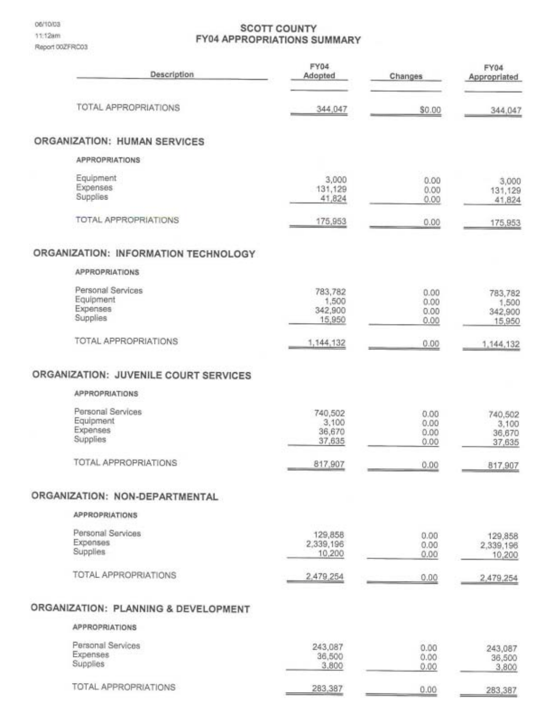06/10/03 11:12am Report 00ZFRC03

### **SCOTT COUNTY FY04 APPROPRIATIONS SUMMARY**

| Description                           | FY04<br>Adopted     | Changes      | FY04<br>Appropriated |
|---------------------------------------|---------------------|--------------|----------------------|
| TOTAL APPROPRIATIONS                  | 344,047             |              |                      |
|                                       |                     | \$0.00       | 344,047              |
| ORGANIZATION: HUMAN SERVICES          |                     |              |                      |
| <b>APPROPRIATIONS</b>                 |                     |              |                      |
| Equipment                             | 3,000               | 0.00         | 3,000                |
| Expenses<br>Supplies                  | 131,129<br>41,824   | 0.00<br>0.00 | 131,129<br>41,824    |
| TOTAL APPROPRIATIONS                  | 175,953             | 0.00         | 175,953              |
| ORGANIZATION: INFORMATION TECHNOLOGY  |                     |              |                      |
| <b>APPROPRIATIONS</b>                 |                     |              |                      |
| Personal Services                     | 783,782             | 0.00         | 783,782              |
| Equipment                             | 1,500               | 0.00         | 1,500                |
| Expenses<br>Supplies                  | 342,900<br>15,950   | 0.00<br>0.00 | 342,900              |
|                                       |                     |              | 15,950               |
| <b>TOTAL APPROPRIATIONS</b>           | 1,144,132           | 0.00         | 1,144,132            |
| ORGANIZATION: JUVENILE COURT SERVICES |                     |              |                      |
| <b>APPROPRIATIONS</b>                 |                     |              |                      |
| Personal Services                     | 740,502             | 0.00         | 740,502              |
| Equipment<br>Expenses                 | 3,100               | 0.00         | 3,100                |
| Supplies                              | 36,670<br>37,635    | 0.00<br>0.00 | 36,670<br>37,635     |
| TOTAL APPROPRIATIONS                  | 817,907             | 0.00         | 817,907              |
| ORGANIZATION: NON-DEPARTMENTAL        |                     |              |                      |
| <b>APPROPRIATIONS</b>                 |                     |              |                      |
| Personal Services                     | 129,858             | 0.00         | 129,858              |
| Expenses<br>Supplies                  | 2,339,196<br>10,200 | 0.00<br>0.00 | 2,339,196<br>10,200  |
| <b>TOTAL APPROPRIATIONS</b>           | 2,479,254           | 0.00         | 2,479,254            |
| ORGANIZATION: PLANNING & DEVELOPMENT  |                     |              |                      |
| <b>APPROPRIATIONS</b>                 |                     |              |                      |
| Personal Services                     | 243,087             | 0.00         | 243,087              |
| Expenses                              | 36,500              | 0.00         | 36,500               |
| Supplies                              | 3,800               | 0.00         | 3,800                |
| TOTAL APPROPRIATIONS                  | 283,387             | 0.00         | 283,387              |

 $\blacksquare$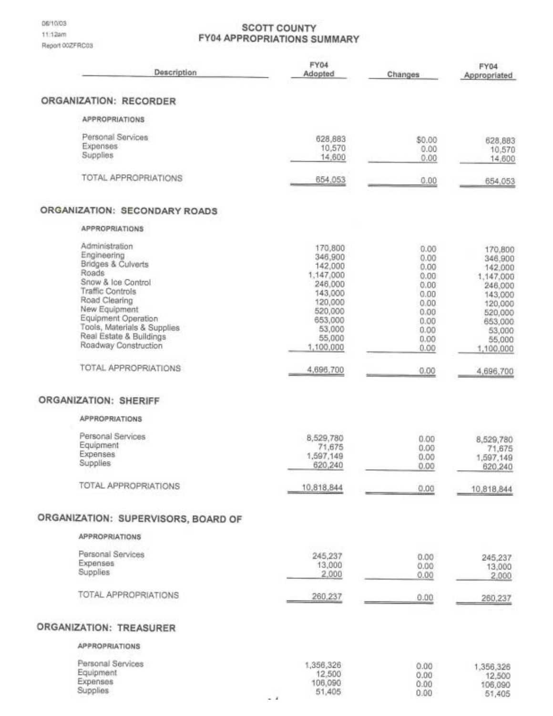## **SCOTT COUNTY FY04 APPROPRIATIONS SUMMARY**

| Description                                                                                                                                                                                                                                       | FY04<br>Adopted                                                                                                                    | Changes                                                                                      | <b>FY04</b><br>Appropriated                                                                                                        |
|---------------------------------------------------------------------------------------------------------------------------------------------------------------------------------------------------------------------------------------------------|------------------------------------------------------------------------------------------------------------------------------------|----------------------------------------------------------------------------------------------|------------------------------------------------------------------------------------------------------------------------------------|
| ORGANIZATION: RECORDER                                                                                                                                                                                                                            |                                                                                                                                    |                                                                                              |                                                                                                                                    |
| <b>APPROPRIATIONS</b>                                                                                                                                                                                                                             |                                                                                                                                    |                                                                                              |                                                                                                                                    |
| Personal Services<br>Expenses<br>Supplies                                                                                                                                                                                                         | 628,883<br>10,570<br>14,600                                                                                                        | \$0.00<br>0.00<br>0.00                                                                       | 628,683<br>10,570<br>14,600                                                                                                        |
| <b>TOTAL APPROPRIATIONS</b>                                                                                                                                                                                                                       | 654,053                                                                                                                            | 0.00                                                                                         | 654,053                                                                                                                            |
| ORGANIZATION: SECONDARY ROADS                                                                                                                                                                                                                     |                                                                                                                                    |                                                                                              |                                                                                                                                    |
| <b>APPROPRIATIONS</b>                                                                                                                                                                                                                             |                                                                                                                                    |                                                                                              |                                                                                                                                    |
| Administration<br>Engineering<br>Bridges & Culverts<br>Roads<br>Snow & Ice Control<br>Traffic Controls<br>Road Clearing<br>New Equipment<br>Equipment Operation<br>Tools, Materials & Supplies<br>Real Estate & Buildings<br>Roadway Construction | 170,800<br>346,900<br>142,000<br>1,147,000<br>246,000<br>143,000<br>120,000<br>520,000<br>653,000<br>53,000<br>55,000<br>1,100,000 | 0.00<br>0.00<br>0.00<br>0.00<br>0.00<br>0.00<br>0.00<br>0.00<br>0.00<br>0.00<br>0.00<br>0.00 | 170,800<br>346,900<br>142,000<br>1,147,000<br>246,000<br>143,000<br>120,000<br>520,000<br>653,000<br>53,000<br>55,000<br>1,100,000 |
| TOTAL APPROPRIATIONS                                                                                                                                                                                                                              | 4,696,700                                                                                                                          | 0.00                                                                                         | 4,696,700                                                                                                                          |
| <b>ORGANIZATION: SHERIFF</b>                                                                                                                                                                                                                      |                                                                                                                                    |                                                                                              |                                                                                                                                    |
| <b>APPROPRIATIONS</b>                                                                                                                                                                                                                             |                                                                                                                                    |                                                                                              |                                                                                                                                    |
| Personal Services<br>Equipment<br>Expenses<br>Supplies<br><b>TOTAL APPROPRIATIONS</b>                                                                                                                                                             | 8,529,780<br>71,675<br>1,597,149<br>620,240<br>10,818,844                                                                          | 0.00<br>0.00<br>0.00<br>0.00<br>0.00                                                         | 8,529,780<br>71,675<br>1,597,149<br>620,240<br>10,818,844                                                                          |
| ORGANIZATION: SUPERVISORS, BOARD OF                                                                                                                                                                                                               |                                                                                                                                    |                                                                                              |                                                                                                                                    |
| <b>APPROPRIATIONS</b>                                                                                                                                                                                                                             |                                                                                                                                    |                                                                                              |                                                                                                                                    |
| Personal Services<br><b>Expenses</b><br>Supplies                                                                                                                                                                                                  | 245,237<br>13,000<br>2,000                                                                                                         | 0.00<br>0.00<br>0.00                                                                         | 245,237<br>13,000<br>2,000                                                                                                         |
| <b>TOTAL APPROPRIATIONS</b>                                                                                                                                                                                                                       | 260,237                                                                                                                            | 0.00                                                                                         | 260,237                                                                                                                            |
| ORGANIZATION: TREASURER                                                                                                                                                                                                                           |                                                                                                                                    |                                                                                              |                                                                                                                                    |
| <b>APPROPRIATIONS</b>                                                                                                                                                                                                                             |                                                                                                                                    |                                                                                              |                                                                                                                                    |
| Personal Services<br>Equipment<br>Expenses<br>Supplies                                                                                                                                                                                            | 1,356,326<br>12,500<br>106,090<br>51,405                                                                                           | 0.00<br>0.00<br>0.00<br>0.00                                                                 | 1,356,326<br>12,500<br>106,090<br>51,405                                                                                           |

 $\overline{\phantom{a}}$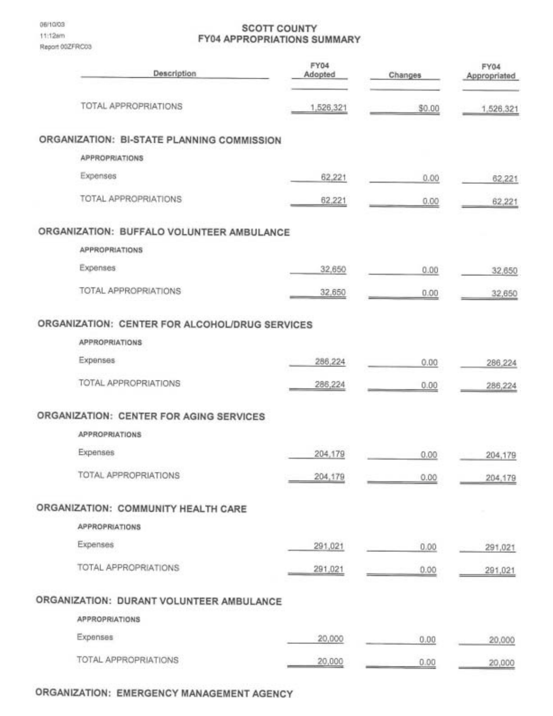### **SCOTT COUNTY FY04 APPROPRIATIONS SUMMARY**

| Description                                    | FY04<br>Adopted | Changes | FY04<br>Appropriated |
|------------------------------------------------|-----------------|---------|----------------------|
| TOTAL APPROPRIATIONS                           | 1,526,321       | \$0.00  | 1,526,321            |
| ORGANIZATION: BI-STATE PLANNING COMMISSION     |                 |         |                      |
| <b>APPROPRIATIONS</b>                          |                 |         |                      |
| Expenses                                       | 62,221          | 0.00    | 62,221               |
| TOTAL APPROPRIATIONS                           | 62,221          | 0.00    | 62,221               |
| ORGANIZATION: BUFFALO VOLUNTEER AMBULANCE      |                 |         |                      |
| <b>APPROPRIATIONS</b>                          |                 |         |                      |
| Expenses                                       | 32,650          | 0.00    | 32,650               |
| <b>TOTAL APPROPRIATIONS</b>                    | 32,650          | 0.00    | 32,650               |
| ORGANIZATION: CENTER FOR ALCOHOL/DRUG SERVICES |                 |         |                      |
| <b>APPROPRIATIONS</b>                          |                 |         |                      |
| Expenses                                       | 286,224         | 0.00    | 286,224              |
| TOTAL APPROPRIATIONS                           | 286,224         | 0.00    | 286,224              |
| ORGANIZATION: CENTER FOR AGING SERVICES        |                 |         |                      |
| <b>APPROPRIATIONS</b>                          |                 |         |                      |
| Expenses                                       | 204,179         | 0.00    | 204,179              |
| TOTAL APPROPRIATIONS                           | 204,179         | 0.00    | 204,179              |
| ORGANIZATION: COMMUNITY HEALTH CARE            |                 |         |                      |
| <b>APPROPRIATIONS</b>                          |                 |         |                      |
| Expenses                                       | 291,021         | 0.00    | 291,021              |
| <b>TOTAL APPROPRIATIONS</b>                    | 291,021         | 0.00    | 291,021              |
| ORGANIZATION: DURANT VOLUNTEER AMBULANCE       |                 |         |                      |
| <b>APPROPRIATIONS</b>                          |                 |         |                      |
| Expenses                                       | 20,000          | 0.00    | 20,000               |
| TOTAL APPROPRIATIONS                           | 20,000          | 0.00    | 20,000               |

## ORGANIZATION: EMERGENCY MANAGEMENT AGENCY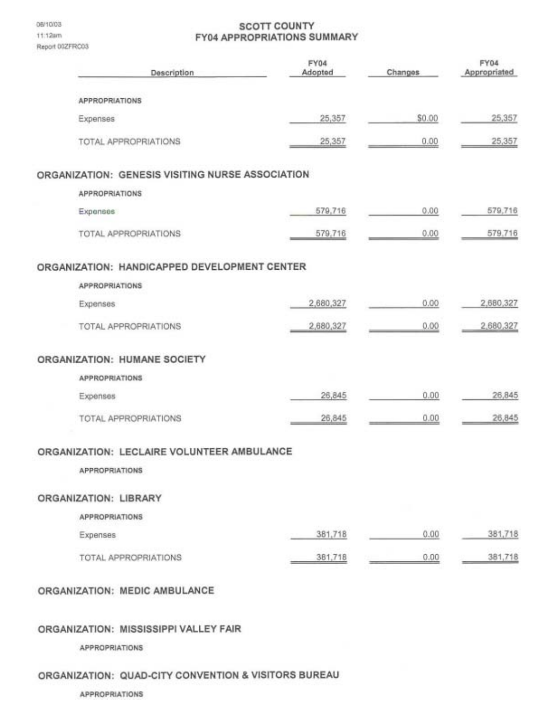06/10/03 11:12am Report 00ZFRC03

#### **SCOTT COUNTY FY04 APPROPRIATIONS SUMMARY**

| Description                                      | FY04<br>Adopted | Changes | FY04<br>Appropriated |
|--------------------------------------------------|-----------------|---------|----------------------|
| <b>APPROPRIATIONS</b>                            |                 |         |                      |
| Expenses                                         | 25,357          | \$0.00  | 25,357               |
| TOTAL APPROPRIATIONS                             | 25,357          | 0.00    | 25,357               |
| ORGANIZATION: GENESIS VISITING NURSE ASSOCIATION |                 |         |                      |
| <b>APPROPRIATIONS</b>                            |                 |         |                      |
| Expanses                                         | 579,716         | 0,00    | 579,716              |
| TOTAL APPROPRIATIONS                             | 579,716         | 0.00    | 579,716              |
| ORGANIZATION: HANDICAPPED DEVELOPMENT CENTER     |                 |         |                      |
| APPROPRIATIONS                                   |                 |         |                      |
| Expenses                                         | 2,680,327       | 0.00    | 2,680,327            |
| TOTAL APPROPRIATIONS                             | 2,680,327       | 0.00    | 2,680,327            |
| ORGANIZATION: HUMANE SOCIETY                     |                 |         |                      |
| <b>APPROPRIATIONS</b>                            |                 |         |                      |
| Expenses                                         | 26,845          | 0.00    | 26,845               |
| TOTAL APPROPRIATIONS                             | 26,845          | 0.00    | 26,845               |
| ORGANIZATION: LECLAIRE VOLUNTEER AMBULANCE       |                 |         |                      |
| <b>APPROPRIATIONS</b>                            |                 |         |                      |
| ORGANIZATION: LIBRARY                            |                 |         |                      |
| <b>APPROPRIATIONS</b>                            |                 |         |                      |
| Expenses                                         | 381,718         | 0.00    | 381,718              |
| TOTAL APPROPRIATIONS                             | 381,718         | 0.00    | 381,718              |
| ORGANIZATION: MEDIC AMBULANCE                    |                 |         |                      |

#### ORGANIZATION: MISSISSIPPI VALLEY FAIR

**APPROPRIATIONS** 

## ORGANIZATION: QUAD-CITY CONVENTION & VISITORS BUREAU

APPROPRIATIONS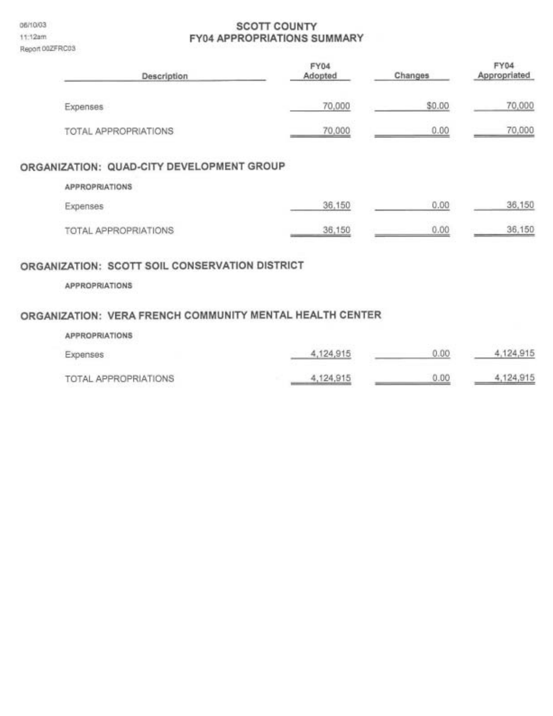06/10/03 11:12am Report 00ZFRC03

## **SCOTT COUNTY FY04 APPROPRIATIONS SUMMARY**

| Description                               | FY04<br>Adopted | Changes         | <b>FY04</b><br>Appropriated |
|-------------------------------------------|-----------------|-----------------|-----------------------------|
| Expenses                                  | 70,000          | \$0.00          | 70,000                      |
| TOTAL APPROPRIATIONS                      | 70,000          | 0.00            | 70,000                      |
| ORGANIZATION: QUAD-CITY DEVELOPMENT GROUP |                 |                 |                             |
| <b>APPROPRIATIONS</b>                     |                 |                 |                             |
| Expenses                                  | 36,150          | 0.00            | 36,150                      |
| TOTAL APPROPRIATIONS                      | 36,150          | 1004088<br>0.00 | 36,150                      |

#### ORGANIZATION: SCOTT SOIL CONSERVATION DISTRICT

APPROPRIATIONS

## ORGANIZATION: VERA FRENCH COMMUNITY MENTAL HEALTH CENTER

| <b>APPROPRIATIONS</b> |           |      |           |
|-----------------------|-----------|------|-----------|
| Expenses              | 4,124,915 | 0.00 | 4,124,915 |
| TOTAL APPROPRIATIONS  | 4,124,915 | 0.00 | 4,124,915 |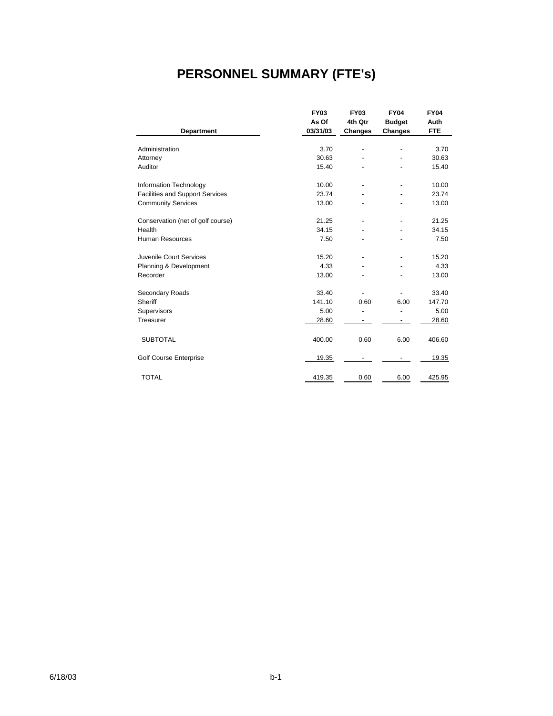## **PERSONNEL SUMMARY (FTE's)**

|                                        | <b>FY03</b> | <b>FY03</b>    | <b>FY04</b>   | <b>FY04</b> |
|----------------------------------------|-------------|----------------|---------------|-------------|
|                                        | As Of       | 4th Qtr        | <b>Budget</b> | Auth        |
| <b>Department</b>                      | 03/31/03    | Changes        | Changes       | <b>FTE</b>  |
|                                        |             |                |               |             |
| Administration                         | 3.70        | $\overline{a}$ | ٠             | 3.70        |
| Attorney                               | 30.63       |                |               | 30.63       |
| Auditor                                | 15.40       |                |               | 15.40       |
| Information Technology                 | 10.00       | ÷              | ÷             | 10.00       |
| <b>Facilities and Support Services</b> | 23.74       |                |               | 23.74       |
| <b>Community Services</b>              | 13.00       |                |               | 13.00       |
| Conservation (net of golf course)      | 21.25       | -              |               | 21.25       |
| Health                                 | 34.15       |                |               | 34.15       |
| <b>Human Resources</b>                 | 7.50        |                |               | 7.50        |
| Juvenile Court Services                | 15.20       |                |               | 15.20       |
| Planning & Development                 | 4.33        |                |               | 4.33        |
| Recorder                               | 13.00       |                |               | 13.00       |
| Secondary Roads                        | 33.40       |                |               | 33.40       |
| Sheriff                                | 141.10      | 0.60           | 6.00          | 147.70      |
| Supervisors                            | 5.00        |                |               | 5.00        |
| Treasurer                              | 28.60       |                |               | 28.60       |
| <b>SUBTOTAL</b>                        | 400.00      | 0.60           | 6.00          | 406.60      |
| <b>Golf Course Enterprise</b>          | 19.35       |                |               | 19.35       |
| <b>TOTAL</b>                           | 419.35      | 0.60           | 6.00          | 425.95      |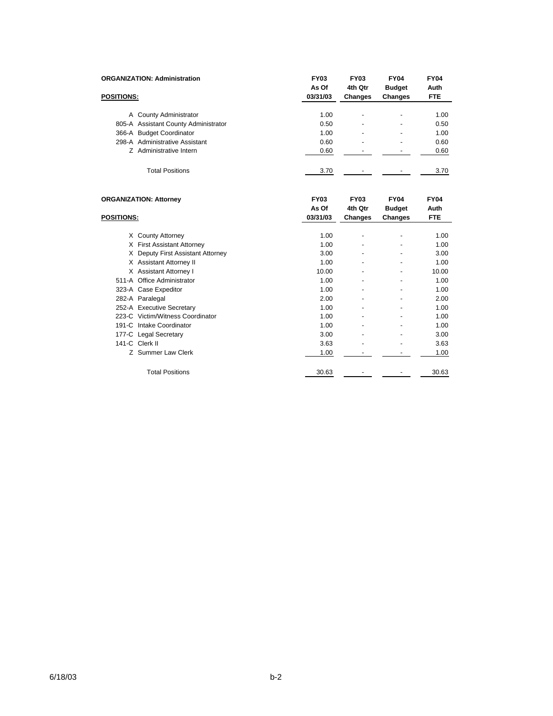|                   | <b>ORGANIZATION: Administration</b>  | <b>FY03</b><br>As Of | <b>FY03</b><br>4th Qtr   | <b>FY04</b><br><b>Budget</b> | <b>FY04</b><br>Auth |
|-------------------|--------------------------------------|----------------------|--------------------------|------------------------------|---------------------|
| <b>POSITIONS:</b> |                                      | 03/31/03             | Changes                  | Changes                      | <b>FTE</b>          |
|                   | A County Administrator               | 1.00                 | ۰                        | $\blacksquare$               | 1.00                |
|                   | 805-A Assistant County Administrator | 0.50                 | -                        | $\blacksquare$               | 0.50                |
|                   | 366-A Budget Coordinator             | 1.00                 | $\overline{\phantom{0}}$ | $\blacksquare$               | 1.00                |
|                   | 298-A Administrative Assistant       | 0.60                 | $\overline{\phantom{0}}$ | -                            | 0.60                |
|                   | Z Administrative Intern              | 0.60                 |                          |                              | 0.60                |
|                   | <b>Total Positions</b>               | 3.70                 | -                        | -                            | 3.70                |

|                   | <b>ORGANIZATION: Attorney</b>    | <b>FY03</b><br>As Of | <b>FY03</b><br>4th Qtr | <b>FY04</b><br><b>Budget</b> | <b>FY04</b><br>Auth |
|-------------------|----------------------------------|----------------------|------------------------|------------------------------|---------------------|
| <b>POSITIONS:</b> |                                  | 03/31/03             | Changes                | <b>Changes</b>               | <b>FTE</b>          |
|                   |                                  |                      |                        |                              |                     |
| X.                | <b>County Attorney</b>           | 1.00                 |                        | ٠                            | 1.00                |
|                   | X First Assistant Attorney       | 1.00                 |                        |                              | 1.00                |
| X.                | Deputy First Assistant Attorney  | 3.00                 |                        |                              | 3.00                |
|                   | X Assistant Attorney II          | 1.00                 |                        |                              | 1.00                |
|                   | X Assistant Attorney I           | 10.00                |                        |                              | 10.00               |
|                   | 511-A Office Administrator       | 1.00                 |                        |                              | 1.00                |
|                   | 323-A Case Expeditor             | 1.00                 |                        |                              | 1.00                |
|                   | 282-A Paralegal                  | 2.00                 | ۰                      | ٠                            | 2.00                |
|                   | 252-A Executive Secretary        | 1.00                 |                        |                              | 1.00                |
|                   | 223-C Victim/Witness Coordinator | 1.00                 |                        |                              | 1.00                |
|                   | 191-C Intake Coordinator         | 1.00                 |                        |                              | 1.00                |
|                   | 177-C Legal Secretary            | 3.00                 |                        |                              | 3.00                |
|                   | 141-C Clerk II                   | 3.63                 | ۰                      | ٠                            | 3.63                |
|                   | Z Summer Law Clerk               | 1.00                 |                        |                              | 1.00                |
|                   |                                  |                      |                        |                              |                     |
|                   | <b>Total Positions</b>           | 30.63                |                        |                              | 30.63               |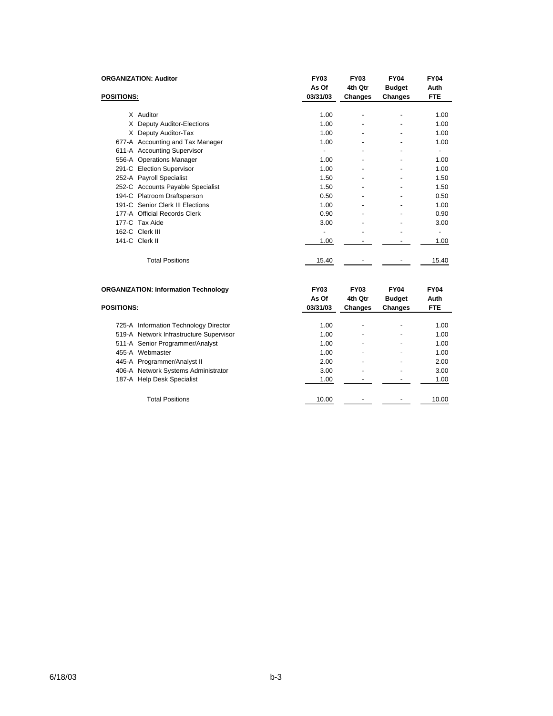|                   | <b>ORGANIZATION: Auditor</b>      | <b>FY03</b><br>As Of     | <b>FY03</b><br>4th Qtr   | <b>FY04</b><br><b>Budget</b> | <b>FY04</b><br>Auth      |
|-------------------|-----------------------------------|--------------------------|--------------------------|------------------------------|--------------------------|
| <b>POSITIONS:</b> |                                   | 03/31/03                 | Changes                  | Changes                      | <b>FTE</b>               |
|                   |                                   |                          |                          |                              |                          |
|                   | X Auditor                         | 1.00                     |                          |                              | 1.00                     |
|                   | X Deputy Auditor-Elections        | 1.00                     | $\overline{\phantom{a}}$ | ٠                            | 1.00                     |
|                   | X Deputy Auditor-Tax              | 1.00                     |                          |                              | 1.00                     |
|                   | 677-A Accounting and Tax Manager  | 1.00                     |                          | ٠                            | 1.00                     |
|                   | 611-A Accounting Supervisor       | ٠                        |                          |                              | -                        |
|                   | 556-A Operations Manager          | 1.00                     | -                        | ٠                            | 1.00                     |
|                   | 291-C Election Supervisor         | 1.00                     | ٠                        | $\overline{\phantom{a}}$     | 1.00                     |
|                   | 252-A Payroll Specialist          | 1.50                     |                          |                              | 1.50                     |
|                   | 252-C Accounts Payable Specialist | 1.50                     |                          |                              | 1.50                     |
|                   | 194-C Platroom Draftsperson       | 0.50                     | ۰                        | ٠                            | 0.50                     |
|                   | 191-C Senior Clerk III Elections  | 1.00                     | ٠                        | $\overline{\phantom{a}}$     | 1.00                     |
|                   | 177-A Official Records Clerk      | 0.90                     |                          | $\overline{\phantom{a}}$     | 0.90                     |
|                   | 177-C Tax Aide                    | 3.00                     |                          | ٠                            | 3.00                     |
|                   | 162-C Clerk III                   | $\overline{\phantom{a}}$ |                          | $\overline{a}$               | $\overline{\phantom{0}}$ |
|                   | 141-C Clerk II                    | 1.00                     |                          |                              | 1.00                     |
|                   | <b>Total Positions</b>            | 15.40                    |                          |                              | 15.40                    |
|                   |                                   |                          |                          |                              |                          |

| <b>ORGANIZATION: Information Technology</b> | <b>FY03</b><br>As Of | <b>FY03</b><br>4th Qtr | <b>FY04</b><br><b>Budget</b> | <b>FY04</b><br>Auth |
|---------------------------------------------|----------------------|------------------------|------------------------------|---------------------|
| <b>POSITIONS:</b>                           | 03/31/03             | Changes                | <b>Changes</b>               | <b>FTE</b>          |
| 725-A Information Technology Director       | 1.00                 | -                      |                              | 1.00                |
| 519-A Network Infrastructure Supervisor     | 1.00                 | -                      |                              | 1.00                |
| 511-A Senior Programmer/Analyst             | 1.00                 | -                      | $\overline{\phantom{0}}$     | 1.00                |
| 455-A Webmaster                             | 1.00                 | -                      |                              | 1.00                |
| 445-A Programmer/Analyst II                 | 2.00                 | -                      |                              | 2.00                |
| 406-A Network Systems Administrator         | 3.00                 | -                      |                              | 3.00                |
| 187-A Help Desk Specialist                  | 1.00                 |                        |                              | 1.00                |
| <b>Total Positions</b>                      | 10.00                |                        |                              | 10.00               |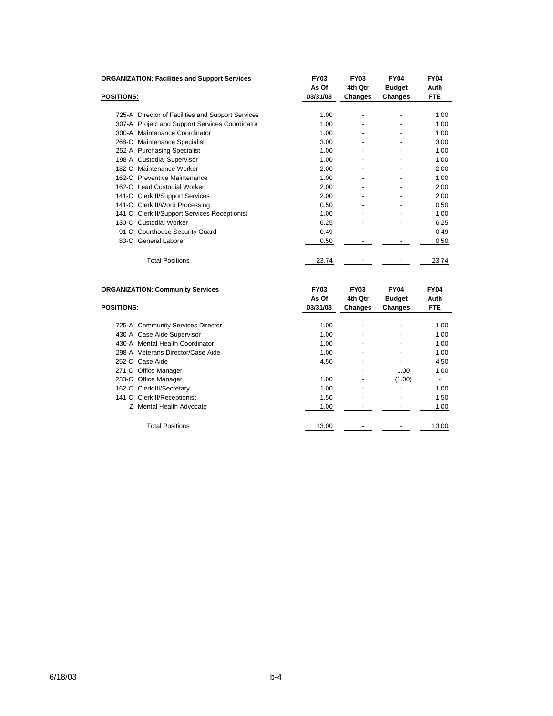|                   | <b>ORGANIZATION: Facilities and Support Services</b>            | <b>FY03</b>       | <b>FY03</b>        | <b>FY04</b>                     | <b>FY04</b>        |
|-------------------|-----------------------------------------------------------------|-------------------|--------------------|---------------------------------|--------------------|
|                   |                                                                 | As Of             | 4th Qtr            | <b>Budget</b>                   | Auth               |
| <b>POSITIONS:</b> |                                                                 | 03/31/03          | Changes            | Changes                         | <b>FTE</b>         |
|                   | 725-A Director of Facilities and Support Services               | 1.00              |                    |                                 | 1.00               |
|                   | 307-A Project and Support Services Coordinator                  | 1.00              |                    |                                 | 1.00               |
|                   | 300-A Maintenance Coordinator                                   | 1.00              |                    |                                 | 1.00               |
|                   | 268-C Maintenance Specialist                                    | 3.00              |                    |                                 | 3.00               |
|                   | 252-A Purchasing Specialist                                     | 1.00              |                    |                                 | 1.00               |
|                   | 198-A Custodial Supervisor                                      | 1.00              |                    |                                 | 1.00               |
|                   | 182-C Maintenance Worker                                        | 2.00              |                    |                                 | 2.00               |
|                   | 162-C Preventive Maintenance                                    | 1.00              |                    |                                 | 1.00               |
|                   | 162-C Lead Custodial Worker                                     | 2.00              |                    |                                 | 2.00               |
|                   | 141-C Clerk II/Support Services                                 | 2.00              |                    |                                 | 2.00               |
|                   | 141-C Clerk II/Word Processing                                  | 0.50              |                    |                                 | 0.50               |
|                   | 141-C Clerk II/Support Services Receptionist                    | 1.00              |                    |                                 | 1.00               |
|                   | 130-C Custodial Worker                                          | 6.25              |                    |                                 | 6.25               |
|                   | 91-C Courthouse Security Guard                                  | 0.49              |                    |                                 | 0.49               |
|                   | 83-C General Laborer                                            | 0.50              |                    |                                 | 0.50               |
|                   | <b>Total Positions</b>                                          | 23.74             |                    |                                 | 23.74              |
|                   | <b>ORGANIZATION: Community Services</b>                         | <b>FY03</b>       | <b>FY03</b>        | <b>FY04</b>                     | <b>FY04</b>        |
| <b>POSITIONS:</b> |                                                                 | As Of<br>03/31/03 | 4th Qtr<br>Changes | <b>Budget</b><br><b>Changes</b> | Auth<br><b>FTE</b> |
|                   |                                                                 |                   |                    |                                 |                    |
|                   | 725-A Community Services Director<br>430-A Case Aide Supervisor | 1.00<br>1.00      |                    |                                 | 1.00<br>1.00       |
|                   |                                                                 |                   |                    |                                 |                    |

430-A Mental Health Coordinator 1.00 1.00 - 1.00 298-A Veterans Director/Case Aide 1.00 - - 1.00

271-C Office Manager 1.00 271-C Office Manager 233-C Office Manager 1.00 - (1.00) - (1.00) - (1.00) - (1.00) - (1.00) - (1.00) - (1.00) - (1.00) - (1.00) - (1.00) - (1.00) - (1.00) - (1.00) - (1.00) - (1.00) - (1.00) - (1.00 - (1.00) - (1.00 - (1.00 - (1.00 - (1.00 - ( 162-C Clerk III/Secretary 1.00 - 141-C Clerk III/Secretary 1.00 1.00 - 141-C Clerk II/Receptionist 1.50 1.50

Z Mental Health Advocate 1.00 1.00 - 1.00 1.00

Total Positions 13.00 - 13.00 - 13.00 - 13.00

252-C Case Aide 4.50 4.50

141-C Clerk II/Receptionist 2002 1.50 and 1.50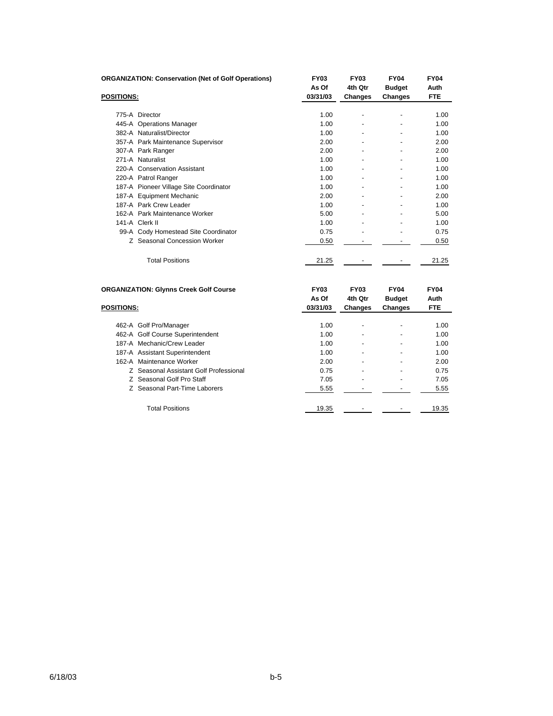| <b>ORGANIZATION: Conservation (Net of Golf Operations)</b> | <b>FY03</b><br>As Of | <b>FY03</b><br>4th Qtr | <b>FY04</b><br><b>Budget</b> | <b>FY04</b><br>Auth |
|------------------------------------------------------------|----------------------|------------------------|------------------------------|---------------------|
| <b>POSITIONS:</b>                                          | 03/31/03             | <b>Changes</b>         | Changes                      | <b>FTE</b>          |
|                                                            |                      |                        |                              |                     |
| 775-A Director                                             | 1.00                 |                        |                              | 1.00                |
| 445-A Operations Manager                                   | 1.00                 |                        |                              | 1.00                |
| 382-A Naturalist/Director                                  | 1.00                 |                        |                              | 1.00                |
| 357-A Park Maintenance Supervisor                          | 2.00                 |                        |                              | 2.00                |
| 307-A Park Ranger                                          | 2.00                 |                        |                              | 2.00                |
| 271-A Naturalist                                           | 1.00                 |                        |                              | 1.00                |
| 220-A Conservation Assistant                               | 1.00                 |                        |                              | 1.00                |
| 220-A Patrol Ranger                                        | 1.00                 |                        | $\overline{\phantom{0}}$     | 1.00                |
| 187-A Pioneer Village Site Coordinator                     | 1.00                 |                        |                              | 1.00                |
| 187-A Equipment Mechanic                                   | 2.00                 |                        |                              | 2.00                |
| 187-A Park Crew Leader                                     | 1.00                 | ٠                      | ٠                            | 1.00                |
| 162-A Park Maintenance Worker                              | 5.00                 |                        |                              | 5.00                |
| 141-A Clerk II                                             | 1.00                 |                        |                              | 1.00                |
| 99-A Cody Homestead Site Coordinator                       | 0.75                 |                        |                              | 0.75                |
| Z Seasonal Concession Worker                               | 0.50                 |                        |                              | 0.50                |
| <b>Total Positions</b>                                     | 21.25                |                        |                              | 21.25               |
| <b>ORGANIZATION: Glynns Creek Golf Course</b>              | <b>FY03</b><br>As Of | <b>FY03</b><br>4th Qtr | <b>FY04</b><br><b>Budget</b> | <b>FY04</b><br>Auth |
| <b>POSITIONS:</b>                                          | 03/31/03             | Changes                | Changes                      | <b>FTE</b>          |
| 462-A Golf Pro/Manager                                     | 1.00                 |                        |                              | 1.00                |

| 462-A Golf Pro/Manager                 | 1.00  |   |                          | 1.00  |
|----------------------------------------|-------|---|--------------------------|-------|
| 462-A Golf Course Superintendent       | 1.00  |   | $\overline{\phantom{0}}$ | 1.00  |
| 187-A Mechanic/Crew Leader             | 1.00  | - | $\overline{\phantom{0}}$ | 1.00  |
| 187-A Assistant Superintendent         | 1.00  |   | ٠                        | 1.00  |
| 162-A Maintenance Worker               | 2.00  |   | $\overline{\phantom{0}}$ | 2.00  |
| Z Seasonal Assistant Golf Professional | 0.75  |   | $\overline{\phantom{0}}$ | 0.75  |
| Z Seasonal Golf Pro Staff              | 7.05  |   | $\overline{\phantom{0}}$ | 7.05  |
| Z Seasonal Part-Time Laborers          | 5.55  |   | $\overline{\phantom{0}}$ | 5.55  |
| <b>Total Positions</b>                 | 19.35 |   |                          | 19.35 |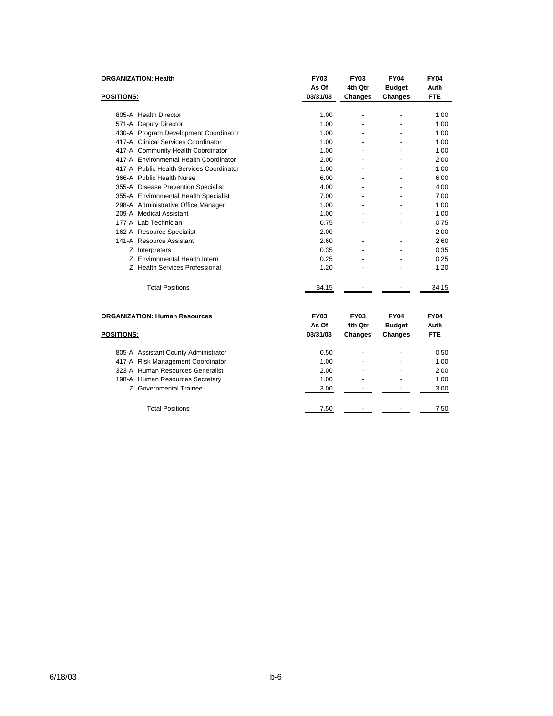| <b>ORGANIZATION: Health</b>              | <b>FY03</b> | <b>FY03</b>    | <b>FY04</b>   | <b>FY04</b> |
|------------------------------------------|-------------|----------------|---------------|-------------|
|                                          | As Of       | 4th Qtr        | <b>Budget</b> | Auth        |
| <b>POSITIONS:</b>                        | 03/31/03    | <b>Changes</b> | Changes       | <b>FTE</b>  |
|                                          |             |                |               |             |
| 805-A Health Director                    | 1.00        |                |               | 1.00        |
| 571-A Deputy Director                    | 1.00        |                |               | 1.00        |
| 430-A Program Development Coordinator    | 1.00        |                |               | 1.00        |
| 417-A Clinical Services Coordinator      | 1.00        |                |               | 1.00        |
| 417-A Community Health Coordinator       | 1.00        |                |               | 1.00        |
| 417-A Environmental Health Coordinator   | 2.00        |                |               | 2.00        |
| 417-A Public Health Services Coordinator | 1.00        |                |               | 1.00        |
| 366-A Public Health Nurse                | 6.00        |                |               | 6.00        |
| 355-A Disease Prevention Specialist      | 4.00        |                |               | 4.00        |
| 355-A Environmental Health Specialist    | 7.00        |                |               | 7.00        |
| 298-A Administrative Office Manager      | 1.00        |                |               | 1.00        |
| 209-A Medical Assistant                  | 1.00        |                |               | 1.00        |
| 177-A Lab Technician                     | 0.75        |                |               | 0.75        |
| 162-A Resource Specialist                | 2.00        |                |               | 2.00        |
| 141-A Resource Assistant                 | 2.60        |                |               | 2.60        |
| Z Interpreters                           | 0.35        |                |               | 0.35        |
| Z Environmental Health Intern            | 0.25        |                |               | 0.25        |
| Z Health Services Professional           | 1.20        |                |               | 1.20        |
| <b>Total Positions</b>                   | 34.15       |                |               | 34.15       |
| <b>ORGANIZATION: Human Resources</b>     | <b>FY03</b> | <b>FY03</b>    | <b>FY04</b>   | <b>FY04</b> |
|                                          | As Of       | 4th Qtr        | <b>Budget</b> | Auth        |
| <b>POSITIONS:</b>                        | 03/31/03    | Changes        | Changes       | <b>FTE</b>  |
| 805-A Assistant County Administrator     | 0.50        |                |               | 0.50        |
| 417-A Risk Management Coordinator        | 1.00        |                |               | 1.00        |
| 323-A Human Resources Generalist         | 2.00        |                |               | 2.00        |
| 198-A Human Resources Secretary          | 1.00        |                |               | 1.00        |
| Z Governmental Trainee                   | 3.00        |                |               | 3.00        |

Total Positions 2012 12:50 12:50 12:50 12:50 12:50 12:50 12:50 12:50 12:50 12:50 12:50 12:50 12:50 12:50 12:50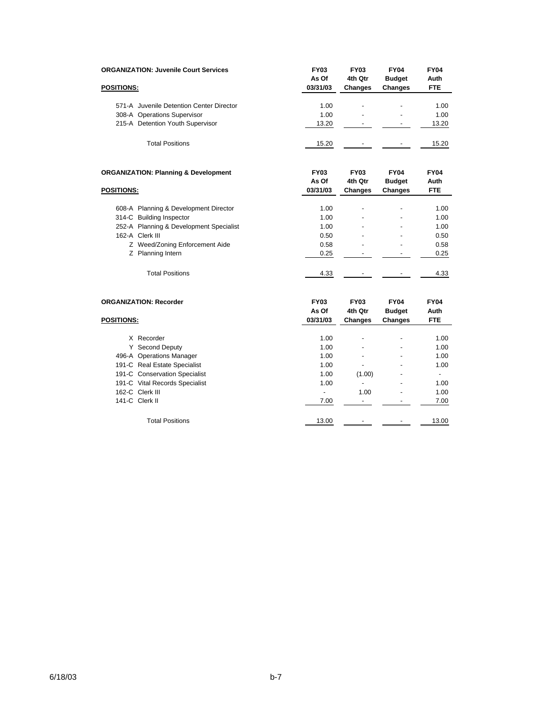| <b>ORGANIZATION: Juvenile Court Services</b>    | <b>FY03</b><br>As Of | <b>FY03</b><br>4th Qtr | <b>FY04</b><br><b>Budget</b> | <b>FY04</b><br>Auth |
|-------------------------------------------------|----------------------|------------------------|------------------------------|---------------------|
| <b>POSITIONS:</b>                               | 03/31/03             | <b>Changes</b>         | <b>Changes</b>               | <b>FTE</b>          |
| 571-A Juvenile Detention Center Director        | 1.00                 | -                      | $\overline{\phantom{a}}$     | 1.00                |
| 308-A Operations Supervisor                     | 1.00                 | -                      | $\overline{\phantom{a}}$     | 1.00                |
| 215-A Detention Youth Supervisor                | 13.20                |                        |                              | 13.20               |
| <b>Total Positions</b>                          | 15.20                |                        |                              | 15.20               |
| <b>ORGANIZATION: Planning &amp; Development</b> | <b>FY03</b><br>As Of | <b>FY03</b><br>4th Qtr | <b>FY04</b><br><b>Budget</b> | <b>FY04</b><br>Auth |

| <b>POSITIONS:</b> |                                         | 03/31/03 | <b>Changes</b>           | <b>Changes</b> | <b>FTE</b> |  |
|-------------------|-----------------------------------------|----------|--------------------------|----------------|------------|--|
|                   |                                         |          |                          |                |            |  |
|                   | 608-A Planning & Development Director   | 1.00     | -                        | -              | 1.00       |  |
|                   | 314-C Building Inspector                | 1.00     |                          |                | 1.00       |  |
|                   | 252-A Planning & Development Specialist | 1.00     | -                        | -              | 1.00       |  |
|                   | 162-A Clerk III                         | 0.50     |                          | -              | 0.50       |  |
|                   | Z Weed/Zoning Enforcement Aide          | 0.58     | -                        | -              | 0.58       |  |
|                   | Z Planning Intern                       | 0.25     |                          |                | 0.25       |  |
|                   |                                         |          |                          |                |            |  |
|                   | <b>Total Positions</b>                  | 4.33     | $\overline{\phantom{a}}$ | -              | 4.33       |  |
|                   |                                         |          |                          |                |            |  |

|                   | <b>ORGANIZATION: Recorder</b>  | <b>FY03</b><br>As Of | <b>FY03</b><br>4th Qtr   | <b>FY04</b><br><b>Budget</b> | <b>FY04</b><br>Auth |
|-------------------|--------------------------------|----------------------|--------------------------|------------------------------|---------------------|
| <b>POSITIONS:</b> |                                | 03/31/03             | <b>Changes</b>           | <b>Changes</b>               | <b>FTE</b>          |
|                   | X Recorder                     | 1.00                 | $\overline{\phantom{a}}$ | $\overline{\phantom{0}}$     | 1.00                |
| Y                 | Second Deputy                  | 1.00                 | -                        | $\overline{\phantom{0}}$     | 1.00                |
|                   | 496-A Operations Manager       | 1.00                 | -                        | $\overline{\phantom{0}}$     | 1.00                |
|                   | 191-C Real Estate Specialist   | 1.00                 | -                        |                              | 1.00                |
|                   | 191-C Conservation Specialist  | 1.00                 | (1.00)                   | ۰                            |                     |
|                   | 191-C Vital Records Specialist | 1.00                 | $\overline{\phantom{a}}$ |                              | 1.00                |
|                   | 162-C Clerk III                |                      | 1.00                     | ٠                            | 1.00                |
|                   | 141-C Clerk II                 | 7.00                 |                          |                              | 7.00                |
|                   | <b>Total Positions</b>         | 13.00                |                          |                              | 13.00               |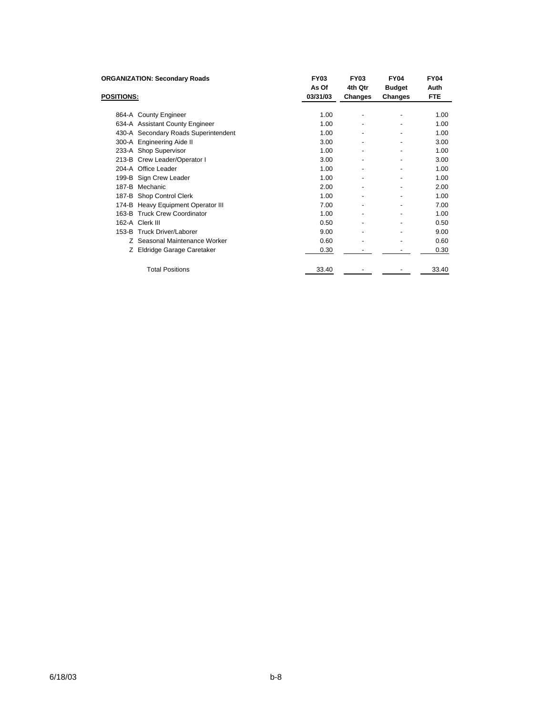| <b>ORGANIZATION: Secondary Roads</b> |                                      | <b>FY03</b>       | <b>FY03</b>              | <b>FY04</b>              | <b>FY04</b>        |
|--------------------------------------|--------------------------------------|-------------------|--------------------------|--------------------------|--------------------|
| <b>POSITIONS:</b>                    |                                      | As Of<br>03/31/03 | 4th Qtr<br>Changes       | <b>Budget</b><br>Changes | Auth<br><b>FTE</b> |
|                                      |                                      |                   |                          |                          |                    |
|                                      | 864-A County Engineer                | 1.00              | ٠                        |                          | 1.00               |
|                                      | 634-A Assistant County Engineer      | 1.00              | -                        | ٠                        | 1.00               |
|                                      | 430-A Secondary Roads Superintendent | 1.00              | -                        | ٠                        | 1.00               |
|                                      | 300-A Engineering Aide II            | 3.00              | $\overline{\phantom{a}}$ |                          | 3.00               |
|                                      | 233-A Shop Supervisor                | 1.00              | -                        |                          | 1.00               |
|                                      | 213-B Crew Leader/Operator I         | 3.00              | -                        | $\overline{\phantom{0}}$ | 3.00               |
|                                      | 204-A Office Leader                  | 1.00              | -                        |                          | 1.00               |
|                                      | 199-B Sign Crew Leader               | 1.00              | $\overline{\phantom{a}}$ |                          | 1.00               |
| 187-B                                | Mechanic                             | 2.00              | -                        |                          | 2.00               |
|                                      | 187-B Shop Control Clerk             | 1.00              | -                        |                          | 1.00               |
|                                      | 174-B Heavy Equipment Operator III   | 7.00              | $\overline{\phantom{a}}$ |                          | 7.00               |
| 163-B                                | <b>Truck Crew Coordinator</b>        | 1.00              | -                        |                          | 1.00               |
|                                      | 162-A Clerk III                      | 0.50              | -                        |                          | 0.50               |
|                                      | 153-B Truck Driver/Laborer           | 9.00              | -                        | ٠                        | 9.00               |
|                                      | Z Seasonal Maintenance Worker        | 0.60              |                          |                          | 0.60               |
|                                      | Z Eldridge Garage Caretaker          | 0.30              |                          |                          | 0.30               |
| <b>Total Positions</b>               |                                      | 33.40             |                          |                          | 33.40              |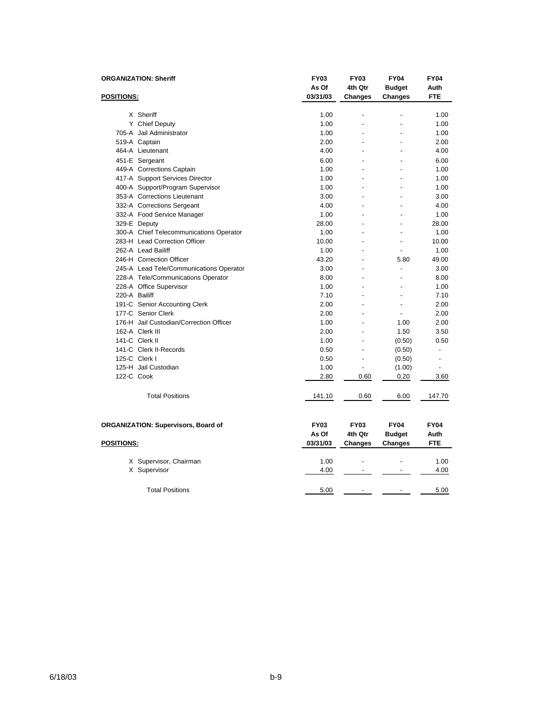| <b>ORGANIZATION: Sheriff</b><br><b>POSITIONS:</b> |                                         | <b>FY03</b><br>As Of | <b>FY03</b><br>4th Qtr | <b>FY04</b><br><b>Budget</b> | <b>FY04</b><br>Auth |
|---------------------------------------------------|-----------------------------------------|----------------------|------------------------|------------------------------|---------------------|
|                                                   |                                         | 03/31/03             | <b>Changes</b>         | <b>Changes</b>               | <b>FTE</b>          |
|                                                   |                                         |                      |                        |                              |                     |
|                                                   | X Sheriff                               | 1.00                 |                        |                              | 1.00                |
|                                                   | Y Chief Deputy                          | 1.00                 |                        |                              | 1.00                |
|                                                   | 705-A Jail Administrator                | 1.00                 |                        | $\overline{\phantom{a}}$     | 1.00                |
|                                                   | 519-A Captain                           | 2.00                 |                        | $\overline{a}$               | 2.00                |
|                                                   | 464-A Lieutenant                        | 4.00                 |                        |                              | 4.00                |
|                                                   | 451-E Sergeant                          | 6.00                 |                        |                              | 6.00                |
|                                                   | 449-A Corrections Captain               | 1.00                 |                        |                              | 1.00                |
|                                                   | 417-A Support Services Director         | 1.00                 |                        |                              | 1.00                |
|                                                   | 400-A Support/Program Supervisor        | 1.00                 |                        | $\overline{\phantom{a}}$     | 1.00                |
|                                                   | 353-A Corrections Lieutenant            | 3.00                 |                        |                              | 3.00                |
|                                                   | 332-A Corrections Sergeant              | 4.00                 |                        | $\overline{a}$               | 4.00                |
|                                                   | 332-A Food Service Manager              | 1.00                 |                        |                              | 1.00                |
|                                                   | 329-E Deputy                            | 28.00                |                        |                              | 28.00               |
|                                                   | 300-A Chief Telecommunications Operator | 1.00                 | $\overline{a}$         | $\overline{a}$               | 1.00                |
|                                                   | 283-H Lead Correction Officer           | 10.00                |                        |                              | 10.00               |
|                                                   | 262-A Lead Bailiff                      | 1.00                 | $\overline{a}$         | $\overline{\phantom{a}}$     | 1.00                |
|                                                   | 246-H Correction Officer                | 43.20                |                        | 5.80                         | 49.00               |
|                                                   | 245-A Lead Tele/Communications Operator | 3.00                 |                        | $\overline{a}$               | 3.00                |
|                                                   | 228-A Tele/Communications Operator      | 8.00                 | $\overline{a}$         | $\overline{a}$               | 8.00                |
|                                                   | 228-A Office Supervisor                 | 1.00                 |                        |                              | 1.00                |
|                                                   | 220-A Bailiff                           | 7.10                 | $\overline{a}$         | $\overline{a}$               | 7.10                |
|                                                   | 191-C Senior Accounting Clerk           | 2.00                 |                        | $\overline{a}$               | 2.00                |
|                                                   | 177-C Senior Clerk                      | 2.00                 |                        | $\overline{a}$               | 2.00                |
|                                                   | 176-H Jail Custodian/Correction Officer | 1.00                 |                        | 1.00                         | 2.00                |
|                                                   | 162-A Clerk III                         | 2.00                 |                        | 1.50                         | 3.50                |
|                                                   | 141-C Clerk II                          | 1.00                 | $\overline{a}$         | (0.50)                       | 0.50                |
|                                                   | 141-C Clerk II-Records                  | 0.50                 | $\overline{a}$         | (0.50)                       | $\overline{a}$      |
|                                                   | 125-C Clerk I                           | 0.50                 | $\overline{a}$         | (0.50)                       | $\overline{a}$      |
|                                                   | 125-H Jail Custodian                    | 1.00                 |                        | (1.00)                       | $\overline{a}$      |
|                                                   | 122-C Cook                              | 2.80                 | 0.60                   | 0.20                         | 3.60                |
|                                                   | <b>Total Positions</b>                  | 141.10               | 0.60                   | 6.00                         | 147.70              |
| ORGANIZATION: Supervisors, Board of               |                                         | <b>FY03</b>          | <b>FY03</b>            | <b>FY04</b>                  | <b>FY04</b>         |
|                                                   |                                         | As Of                | 4th Qtr                | <b>Budget</b>                | Auth                |
| <b>POSITIONS:</b>                                 |                                         | 03/31/03             | Changes                | Changes                      | <b>FTE</b>          |
|                                                   | X Supervisor, Chairman                  | 1.00                 |                        |                              | 1.00                |
|                                                   | X Supervisor                            | 4.00                 |                        |                              | 4.00                |
|                                                   | <b>Total Positions</b>                  | 5.00                 |                        |                              | 5.00                |